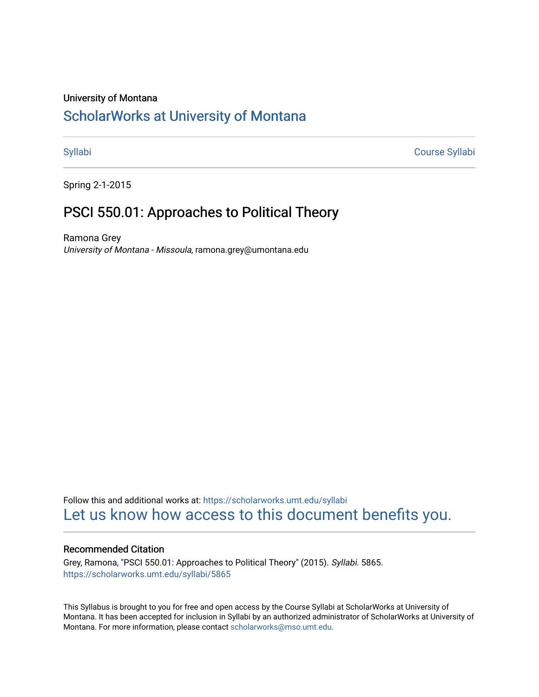### University of Montana

# [ScholarWorks at University of Montana](https://scholarworks.umt.edu/)

[Syllabi](https://scholarworks.umt.edu/syllabi) [Course Syllabi](https://scholarworks.umt.edu/course_syllabi) 

Spring 2-1-2015

# PSCI 550.01: Approaches to Political Theory

Ramona Grey University of Montana - Missoula, ramona.grey@umontana.edu

Follow this and additional works at: [https://scholarworks.umt.edu/syllabi](https://scholarworks.umt.edu/syllabi?utm_source=scholarworks.umt.edu%2Fsyllabi%2F5865&utm_medium=PDF&utm_campaign=PDFCoverPages)  [Let us know how access to this document benefits you.](https://goo.gl/forms/s2rGfXOLzz71qgsB2) 

### Recommended Citation

Grey, Ramona, "PSCI 550.01: Approaches to Political Theory" (2015). Syllabi. 5865. [https://scholarworks.umt.edu/syllabi/5865](https://scholarworks.umt.edu/syllabi/5865?utm_source=scholarworks.umt.edu%2Fsyllabi%2F5865&utm_medium=PDF&utm_campaign=PDFCoverPages)

This Syllabus is brought to you for free and open access by the Course Syllabi at ScholarWorks at University of Montana. It has been accepted for inclusion in Syllabi by an authorized administrator of ScholarWorks at University of Montana. For more information, please contact [scholarworks@mso.umt.edu.](mailto:scholarworks@mso.umt.edu)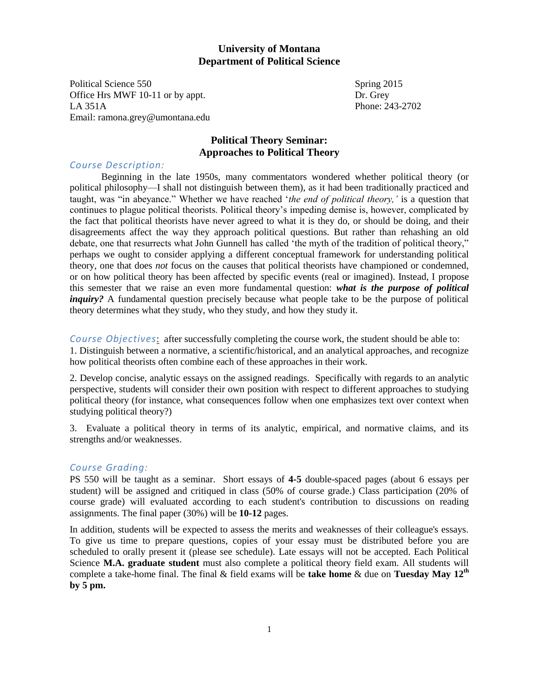### **University of Montana Department of Political Science**

Political Science 550 Spring 2015 Office Hrs MWF 10-11 or by appt. Dr. Grey LA 351A Phone: 243-2702 Email: ramona.grey@umontana.edu

## **Political Theory Seminar: Approaches to Political Theory**

### *Course Description:*

 Beginning in the late 1950s, many commentators wondered whether political theory (or political philosophy—I shall not distinguish between them), as it had been traditionally practiced and taught, was "in abeyance." Whether we have reached '*the end of political theory,'* is a question that continues to plague political theorists. Political theory's impeding demise is, however, complicated by the fact that political theorists have never agreed to what it is they do, or should be doing, and their disagreements affect the way they approach political questions. But rather than rehashing an old debate, one that resurrects what John Gunnell has called 'the myth of the tradition of political theory," perhaps we ought to consider applying a different conceptual framework for understanding political theory, one that does *not* focus on the causes that political theorists have championed or condemned, or on how political theory has been affected by specific events (real or imagined). Instead, I propose this semester that we raise an even more fundamental question: *what is the purpose of political inquiry?* A fundamental question precisely because what people take to be the purpose of political theory determines what they study, who they study, and how they study it.

*Course Objectives*: after successfully completing the course work, the student should be able to: 1. Distinguish between a normative, a scientific/historical, and an analytical approaches, and recognize how political theorists often combine each of these approaches in their work.

2. Develop concise, analytic essays on the assigned readings. Specifically with regards to an analytic perspective, students will consider their own position with respect to different approaches to studying political theory (for instance, what consequences follow when one emphasizes text over context when studying political theory?)

3. Evaluate a political theory in terms of its analytic, empirical, and normative claims, and its strengths and/or weaknesses.

### *Course Grading:*

PS 550 will be taught as a seminar. Short essays of **4-5** double-spaced pages (about 6 essays per student) will be assigned and critiqued in class (50% of course grade.) Class participation (20% of course grade) will evaluated according to each student's contribution to discussions on reading assignments. The final paper (30%) will be **10-12** pages.

In addition, students will be expected to assess the merits and weaknesses of their colleague's essays. To give us time to prepare questions, copies of your essay must be distributed before you are scheduled to orally present it (please see schedule). Late essays will not be accepted. Each Political Science **M.A. graduate student** must also complete a political theory field exam. All students will complete a take-home final. The final & field exams will be **take home** & due on **Tuesday May 12th by 5 pm.**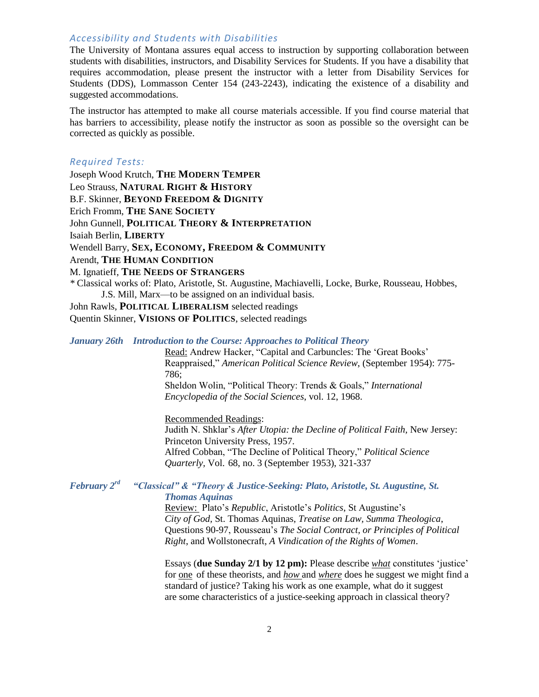### *Accessibility and Students with Disabilities*

The University of Montana assures equal access to instruction by supporting collaboration between students with disabilities, instructors, and Disability Services for Students. If you have a disability that requires accommodation, please present the instructor with a letter from Disability Services for Students (DDS), Lommasson Center 154 (243-2243), indicating the existence of a disability and suggested accommodations.

The instructor has attempted to make all course materials accessible. If you find course material that has barriers to accessibility, please notify the instructor as soon as possible so the oversight can be corrected as quickly as possible.

### *Required Tests:*

Joseph Wood Krutch, **THE MODERN TEMPER** Leo Strauss, **NATURAL RIGHT & HISTORY** B.F. Skinner, **BEYOND FREEDOM & DIGNITY** Erich Fromm, **THE SANE SOCIETY** John Gunnell, **POLITICAL THEORY & INTERPRETATION** Isaiah Berlin, **LIBERTY** Wendell Barry, **SEX, ECONOMY, FREEDOM & COMMUNITY** Arendt, **THE HUMAN CONDITION** M. Ignatieff, **THE NEEDS OF STRANGERS** *\** Classical works of: Plato, Aristotle, St. Augustine, Machiavelli, Locke, Burke, Rousseau, Hobbes, J.S. Mill, Marx—to be assigned on an individual basis. John Rawls, **POLITICAL LIBERALISM** selected readings

Quentin Skinner, **VISIONS OF POLITICS**, selected readings

### *January 26th Introduction to the Course: Approaches to Political Theory*

 Read: Andrew Hacker, "Capital and Carbuncles: The 'Great Books' Reappraised," *American Political Science Review*, (September 1954): 775- 786; Sheldon Wolin, "Political Theory: Trends & Goals," *International Encyclopedia of the Social Sciences*, vol. 12, 1968.

 Recommended Readings: Judith N. Shklar's *After Utopia: the Decline of Political Faith,* New Jersey: Princeton University Press, 1957. Alfred Cobban, "The Decline of Political Theory," *Political Science Quarterly,* Vol. 68, no. 3 (September 1953), 321-337

### *February 2rd "Classical" & "Theory & Justice-Seeking: Plato, Aristotle, St. Augustine, St. Thomas Aquinas*

 Review: Plato's *Republic*, Aristotle's *Politics*, St Augustine's *City of God,* St. Thomas Aquinas, *Treatise on Law, Summa Theologica*, Questions 90-97, Rousseau's *The Social Contract, or Principles of Political Right*, and Wollstonecraft, *A Vindication of the Rights of Women*.

 Essays (**due Sunday 2/1 by 12 pm):** Please describe *what* constitutes 'justice' for one of these theorists, and *how* and *where* does he suggest we might find a standard of justice? Taking his work as one example, what do it suggest are some characteristics of a justice-seeking approach in classical theory?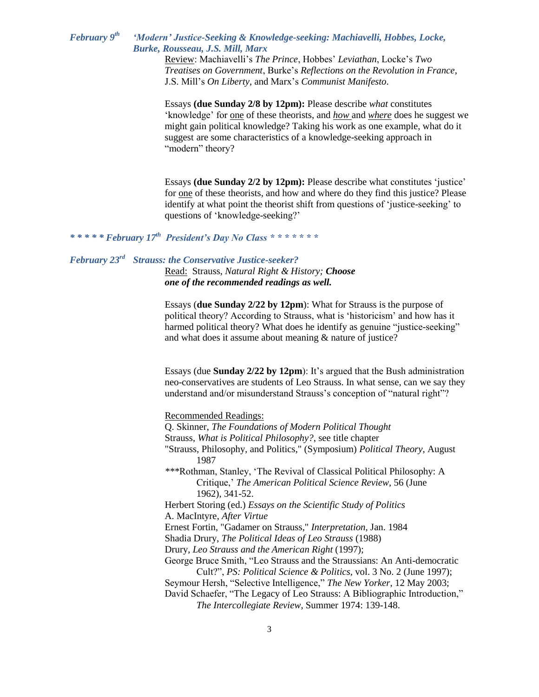#### *February 9 th 'Modern' Justice-Seeking & Knowledge-seeking: Machiavelli, Hobbes, Locke, Burke, Rousseau, J.S. Mill, Marx*

Review: Machiavelli's *The Prince*, Hobbes' *Leviathan*, Locke's *Two Treatises on Government*, Burke's *Reflections on the Revolution in France*, J.S. Mill's *On Liberty*, and Marx's *Communist Manifesto*.

Essays **(due Sunday 2/8 by 12pm):** Please describe *what* constitutes 'knowledge' for one of these theorists, and *how* and *where* does he suggest we might gain political knowledge? Taking his work as one example, what do it suggest are some characteristics of a knowledge-seeking approach in "modern" theory?

Essays **(due Sunday 2/2 by 12pm):** Please describe what constitutes 'justice' for one of these theorists, and how and where do they find this justice? Please identify at what point the theorist shift from questions of 'justice-seeking' to questions of 'knowledge-seeking?'

*\* \* \* \* \* February 17th President's Day No Class \* \* \* \* \* \* \**

### *February 23 rd Strauss: the Conservative Justice-seeker?*

Read: Strauss, *Natural Right & History; Choose one of the recommended readings as well.* 

Essays (**due Sunday 2/22 by 12pm**): What for Strauss is the purpose of political theory? According to Strauss, what is 'historicism' and how has it harmed political theory? What does he identify as genuine "justice-seeking" and what does it assume about meaning & nature of justice?

Essays (due **Sunday 2/22 by 12pm**): It's argued that the Bush administration neo-conservatives are students of Leo Strauss. In what sense, can we say they understand and/or misunderstand Strauss's conception of "natural right"?

Recommended Readings:

- Q. Skinner, *The Foundations of Modern Political Thought*
- Strauss, *What is Political Philosophy?*, see title chapter
- "Strauss, Philosophy, and Politics," (Symposium) *Political Theory*, August 1987
- *\*\*\**Rothman, Stanley, 'The Revival of Classical Political Philosophy: A Critique,' *The American Political Science Review*, 56 (June 1962), 341-52.

Herbert Storing (ed.) *Essays on the Scientific Study of Politics* A. MacIntyre, *After Virtue*

Ernest Fortin, "Gadamer on Strauss," *Interpretation*, Jan. 1984

Shadia Drury, *The Political Ideas of Leo Strauss* (1988)

Drury, *Leo Strauss and the American Right* (1997);

- George Bruce Smith, "Leo Strauss and the Straussians: An Anti-democratic Cult?", *PS: Political Science & Politics,* vol. 3 No. 2 (June 1997);
- Seymour Hersh, "Selective Intelligence," *The New Yorker*, 12 May 2003; David Schaefer, "The Legacy of Leo Strauss: A Bibliographic Introduction," *The Intercollegiate Review*, Summer 1974: 139-148.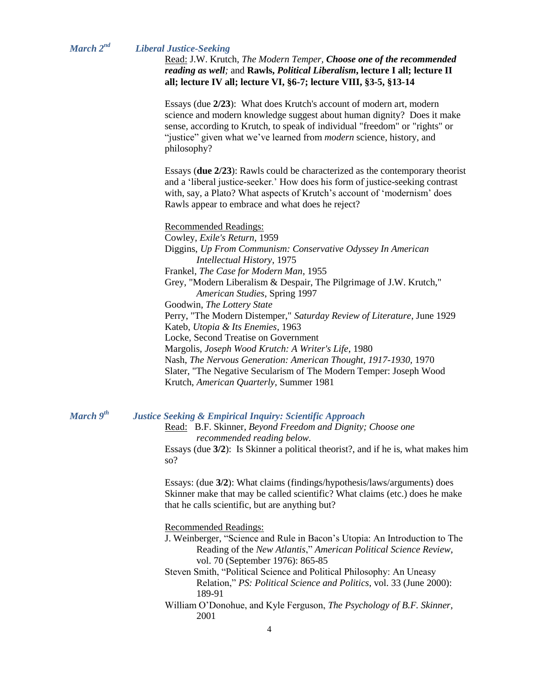### *March 2nd Liberal Justice-Seeking*

Read: J.W. Krutch, *The Modern Temper, Choose one of the recommended reading as well;* and **Rawls,** *Political Liberalism***, lecture I all; lecture II all; lecture IV all; lecture VI, §6-7; lecture VIII, §3-5, §13-14**

Essays (due **2/23**): What does Krutch's account of modern art, modern science and modern knowledge suggest about human dignity? Does it make sense, according to Krutch, to speak of individual "freedom" or "rights" or "justice" given what we've learned from *modern* science, history, and philosophy?

Essays (**due 2/23**): Rawls could be characterized as the contemporary theorist and a 'liberal justice-seeker.' How does his form of justice-seeking contrast with, say, a Plato? What aspects of Krutch's account of 'modernism' does Rawls appear to embrace and what does he reject?

Recommended Readings:

Cowley, *Exile's Return,* 1959 Diggins, *Up From Communism: Conservative Odyssey In American Intellectual History*, 1975 Frankel, *The Case for Modern Man*, 1955 Grey, "Modern Liberalism & Despair, The Pilgrimage of J.W. Krutch," *American Studies*, Spring 1997 Goodwin, *The Lottery State* Perry, "The Modern Distemper," *Saturday Review of Literature*, June 1929 Kateb, *Utopia & Its Enemies*, 1963 Locke, Second Treatise on Government Margolis, *Joseph Wood Krutch: A Writer's Life*, 1980 Nash, *The Nervous Generation: American Thought, 1917-1930,* 1970 Slater, "The Negative Secularism of The Modern Temper: Joseph Wood Krutch, *American Quarterly*, Summer 1981

*March 9th*

### *Justice Seeking & Empirical Inquiry: Scientific Approach*

Read: B.F. Skinner, *Beyond Freedom and Dignity; Choose one recommended reading below.*

Essays (due **3/2**): Is Skinner a political theorist?, and if he is, what makes him so?

Essays: (due **3/2**): What claims (findings/hypothesis/laws/arguments) does Skinner make that may be called scientific? What claims (etc.) does he make that he calls scientific, but are anything but?

Recommended Readings:

- J. Weinberger, "Science and Rule in Bacon's Utopia: An Introduction to The Reading of the *New Atlantis*," *American Political Science Review*, vol. 70 (September 1976): 865-85
- Steven Smith, "Political Science and Political Philosophy: An Uneasy Relation," *PS: Political Science and Politics*, vol. 33 (June 2000): 189-91
- William O'Donohue, and Kyle Ferguson, *The Psychology of B.F. Skinner,*  2001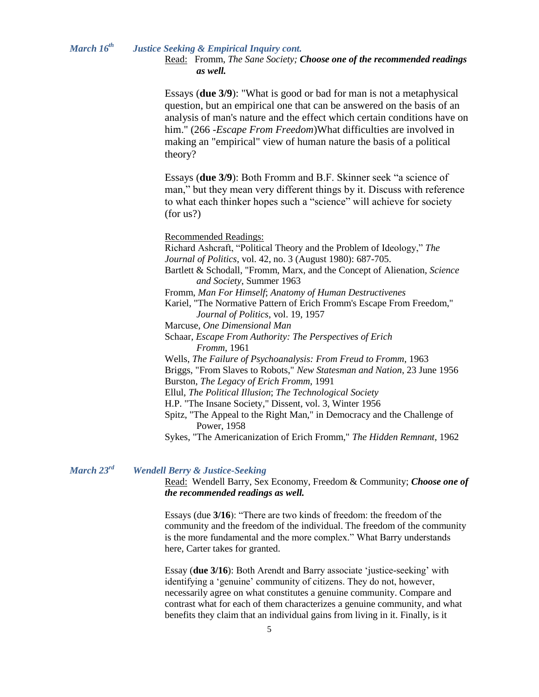#### *March 16 th Justice Seeking & Empirical Inquiry cont.*

Read: Fromm, *The Sane Society; Choose one of the recommended readings as well.*

Essays (**due 3/9**): "What is good or bad for man is not a metaphysical question, but an empirical one that can be answered on the basis of an analysis of man's nature and the effect which certain conditions have on him." (266 -*Escape From Freedom*)What difficulties are involved in making an "empirical" view of human nature the basis of a political theory?

Essays (**due 3/9**): Both Fromm and B.F. Skinner seek "a science of man," but they mean very different things by it. Discuss with reference to what each thinker hopes such a "science" will achieve for society (for us?)

Recommended Readings:

Richard Ashcraft, "Political Theory and the Problem of Ideology," *The Journal of Politics*, vol. 42, no. 3 (August 1980): 687-705. Bartlett & Schodall, "Fromm, Marx, and the Concept of Alienation, *Science and Society*, Summer 1963 Fromm, *Man For Himself*; *Anatomy of Human Destructivenes* Kariel, "The Normative Pattern of Erich Fromm's Escape From Freedom," *Journal of Politics*, vol. 19, 1957 Marcuse, *One Dimensional Man* Schaar, *Escape From Authority: The Perspectives of Erich Fromm*, 1961 Wells, *The Failure of Psychoanalysis: From Freud to Fromm*, 1963 Briggs, "From Slaves to Robots," *New Statesman and Nation*, 23 June 1956 Burston, *The Legacy of Erich Fromm*, 1991 Ellul, *The Political Illusion*; *The Technological Society* H.P. "The Insane Society," Dissent, vol. 3, Winter 1956 Spitz, "The Appeal to the Right Man," in Democracy and the Challenge of Power, 1958 Sykes, "The Americanization of Erich Fromm," *The Hidden Remnant*, 1962

#### *March 23 Wendell Berry & Justice-Seeking*

Read: Wendell Barry, Sex Economy, Freedom & Community; *Choose one of the recommended readings as well.*

Essays (due **3/16**): "There are two kinds of freedom: the freedom of the community and the freedom of the individual. The freedom of the community is the more fundamental and the more complex." What Barry understands here, Carter takes for granted.

Essay (**due 3/16**): Both Arendt and Barry associate 'justice-seeking' with identifying a 'genuine' community of citizens. They do not, however, necessarily agree on what constitutes a genuine community. Compare and contrast what for each of them characterizes a genuine community, and what benefits they claim that an individual gains from living in it. Finally, is it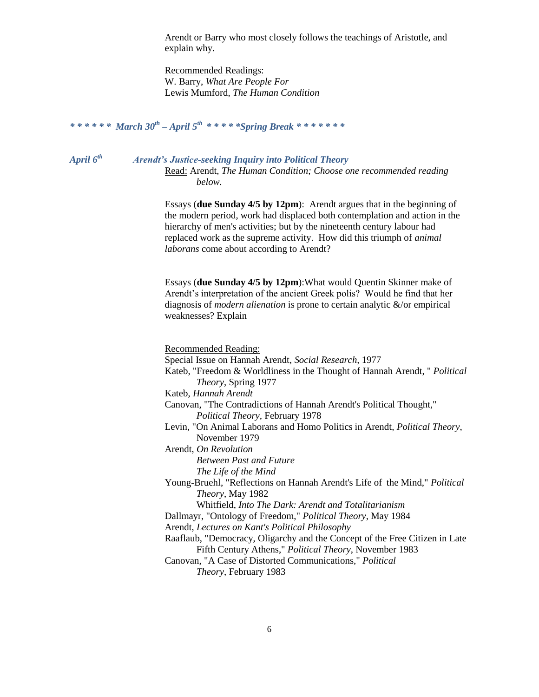Arendt or Barry who most closely follows the teachings of Aristotle, and explain why.

Recommended Readings: W. Barry, *What Are People For* Lewis Mumford, *The Human Condition*

### *\* \* \* \* \* \* March 30th – April 5 th \* \* \* \* \*Spring Break \* \* \* \* \* \* \**

*April 6*

*th Arendt's Justice-seeking Inquiry into Political Theory*

Read: Arendt, *The Human Condition; Choose one recommended reading below.*

Essays (**due Sunday 4/5 by 12pm**): Arendt argues that in the beginning of the modern period, work had displaced both contemplation and action in the hierarchy of men's activities; but by the nineteenth century labour had replaced work as the supreme activity. How did this triumph of *animal laborans* come about according to Arendt?

Essays (**due Sunday 4/5 by 12pm**):What would Quentin Skinner make of Arendt's interpretation of the ancient Greek polis? Would he find that her diagnosis of *modern alienation* is prone to certain analytic &/or empirical weaknesses? Explain

Recommended Reading:

Special Issue on Hannah Arendt, *Social Research,* 1977

Kateb, "Freedom & Worldliness in the Thought of Hannah Arendt, " *Political Theory*, Spring 1977

Kateb, *Hannah Arendt*

Canovan, "The Contradictions of Hannah Arendt's Political Thought," *Political Theory*, February 1978

Levin, "On Animal Laborans and Homo Politics in Arendt, *Political Theory*, November 1979

Arendt, *On Revolution*

*Between Past and Future The Life of the Mind*

Young-Bruehl, "Reflections on Hannah Arendt's Life of the Mind," *Political Theory*, May 1982

Whitfield, *Into The Dark: Arendt and Totalitarianism*

Dallmayr, "Ontology of Freedom," *Political Theory*, May 1984

Arendt, *Lectures on Kant's Political Philosophy*

Raaflaub, "Democracy, Oligarchy and the Concept of the Free Citizen in Late Fifth Century Athens," *Political Theory*, November 1983

Canovan, "A Case of Distorted Communications," *Political Theory*, February 1983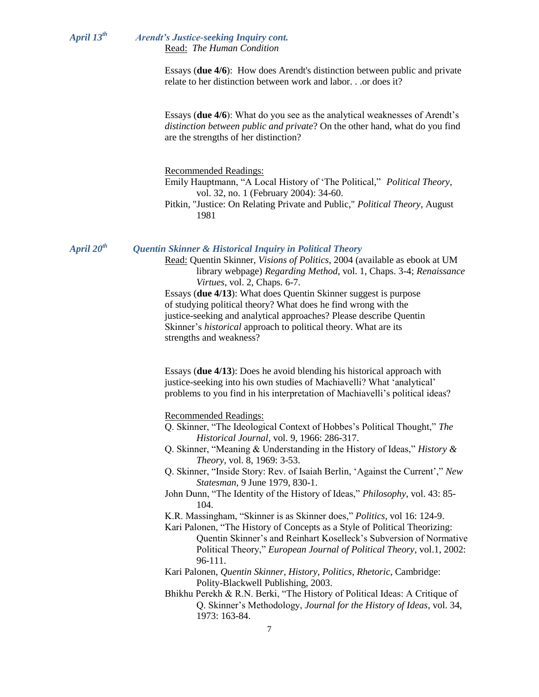#### *April 13 th Arendt's Justice-seeking Inquiry cont.* Read: *The Human Condition*

Essays (**due 4/6**): How does Arendt's distinction between public and private relate to her distinction between work and labor. . .or does it?

Essays (**due 4/6**): What do you see as the analytical weaknesses of Arendt's *distinction between public and private*? On the other hand, what do you find are the strengths of her distinction?

Recommended Readings:

Emily Hauptmann, "A Local History of 'The Political," *Political Theory*, vol. 32, no. 1 (February 2004): 34-60.

Pitkin, "Justice: On Relating Private and Public," *Political Theory*, August 1981

*April 20*

### *th Quentin Skinner & Historical Inquiry in Political Theory*

Read: Quentin Skinner, *Visions of Politics*, 2004 (available as ebook at UM library webpage) *Regarding Method*, vol. 1, Chaps. 3-4; *Renaissance Virtues*, vol. 2, Chaps. 6-7. Essays (**due 4/13**): What does Quentin Skinner suggest is purpose of studying political theory? What does he find wrong with the justice-seeking and analytical approaches? Please describe Quentin Skinner's *historical* approach to political theory. What are its strengths and weakness?

Essays (**due 4/13**): Does he avoid blending his historical approach with justice-seeking into his own studies of Machiavelli? What 'analytical' problems to you find in his interpretation of Machiavelli's political ideas?

Recommended Readings:

- Q. Skinner, "The Ideological Context of Hobbes's Political Thought," *The Historical Journal*, vol. 9, 1966: 286-317.
- Q. Skinner, "Meaning & Understanding in the History of Ideas," *History & Theory*, vol. 8, 1969: 3-53.
- Q. Skinner, "Inside Story: Rev. of Isaiah Berlin, 'Against the Current'," *New Statesman*, 9 June 1979, 830-1.
- John Dunn, "The Identity of the History of Ideas," *Philosophy*, vol. 43: 85- 104.
- K.R. Massingham, "Skinner is as Skinner does," *Politics*, vol 16: 124-9.
- Kari Palonen, "The History of Concepts as a Style of Political Theorizing: Quentin Skinner's and Reinhart Koselleck's Subversion of Normative Political Theory," *European Journal of Political Theory*, vol.1, 2002: 96-111.
- Kari Palonen, *Quentin Skinner, History, Politics, Rhetoric*, Cambridge: Polity-Blackwell Publishing, 2003.
- Bhikhu Perekh & R.N. Berki, "The History of Political Ideas: A Critique of Q. Skinner's Methodology, *Journal for the History of Ideas*, vol. 34, 1973: 163-84.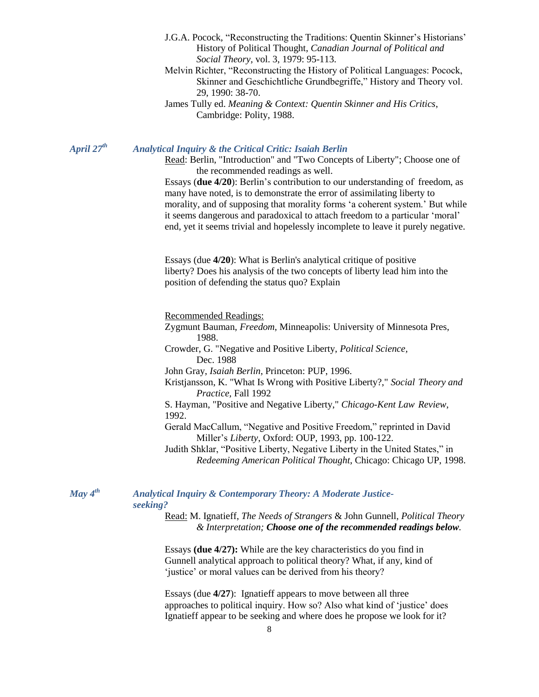- J.G.A. Pocock, "Reconstructing the Traditions: Quentin Skinner's Historians' History of Political Thought, *Canadian Journal of Political and Social Theory,* vol. 3, 1979: 95-113.
- Melvin Richter, "Reconstructing the History of Political Languages: Pocock, Skinner and Geschichtliche Grundbegriffe," History and Theory vol. 29, 1990: 38-70.
- James Tully ed. *Meaning & Context: Quentin Skinner and His Critics*, Cambridge: Polity, 1988.

*April 27th Analytical Inquiry & the Critical Critic: Isaiah Berlin*

Read: Berlin, "Introduction" and "Two Concepts of Liberty"; Choose one of the recommended readings as well.

Essays (**due 4/20**): Berlin's contribution to our understanding of freedom, as many have noted, is to demonstrate the error of assimilating liberty to morality, and of supposing that morality forms 'a coherent system.' But while it seems dangerous and paradoxical to attach freedom to a particular 'moral' end, yet it seems trivial and hopelessly incomplete to leave it purely negative.

Essays (due **4/20**): What is Berlin's analytical critique of positive liberty? Does his analysis of the two concepts of liberty lead him into the position of defending the status quo? Explain

Recommended Readings:

Zygmunt Bauman, *Freedom*, Minneapolis: University of Minnesota Pres, 1988.

Crowder, G. "Negative and Positive Liberty, *Political Science,* Dec. 1988

John Gray, *Isaiah Berlin*, Princeton: PUP, 1996.

Kristjansson, K. "What Is Wrong with Positive Liberty?," *Social Theory and Practice,* Fall 1992

S. Hayman, "Positive and Negative Liberty," *Chicago-Kent Law Review*, 1992.

Gerald MacCallum, "Negative and Positive Freedom," reprinted in David Miller's *Liberty*, Oxford: OUP, 1993, pp. 100-122.

Judith Shklar, "Positive Liberty, Negative Liberty in the United States," in *Redeeming American Political Thought*, Chicago: Chicago UP, 1998.

*May 4*

### *th Analytical Inquiry & Contemporary Theory: A Moderate Justiceseeking?*

Read: M. Ignatieff, *The Needs of Strangers* & John Gunnell, *Political Theory & Interpretation; Choose one of the recommended readings below.*

Essays **(due 4/27):** While are the key characteristics do you find in Gunnell analytical approach to political theory? What, if any, kind of 'justice' or moral values can be derived from his theory?

Essays (due **4/27**): Ignatieff appears to move between all three approaches to political inquiry. How so? Also what kind of 'justice' does Ignatieff appear to be seeking and where does he propose we look for it?